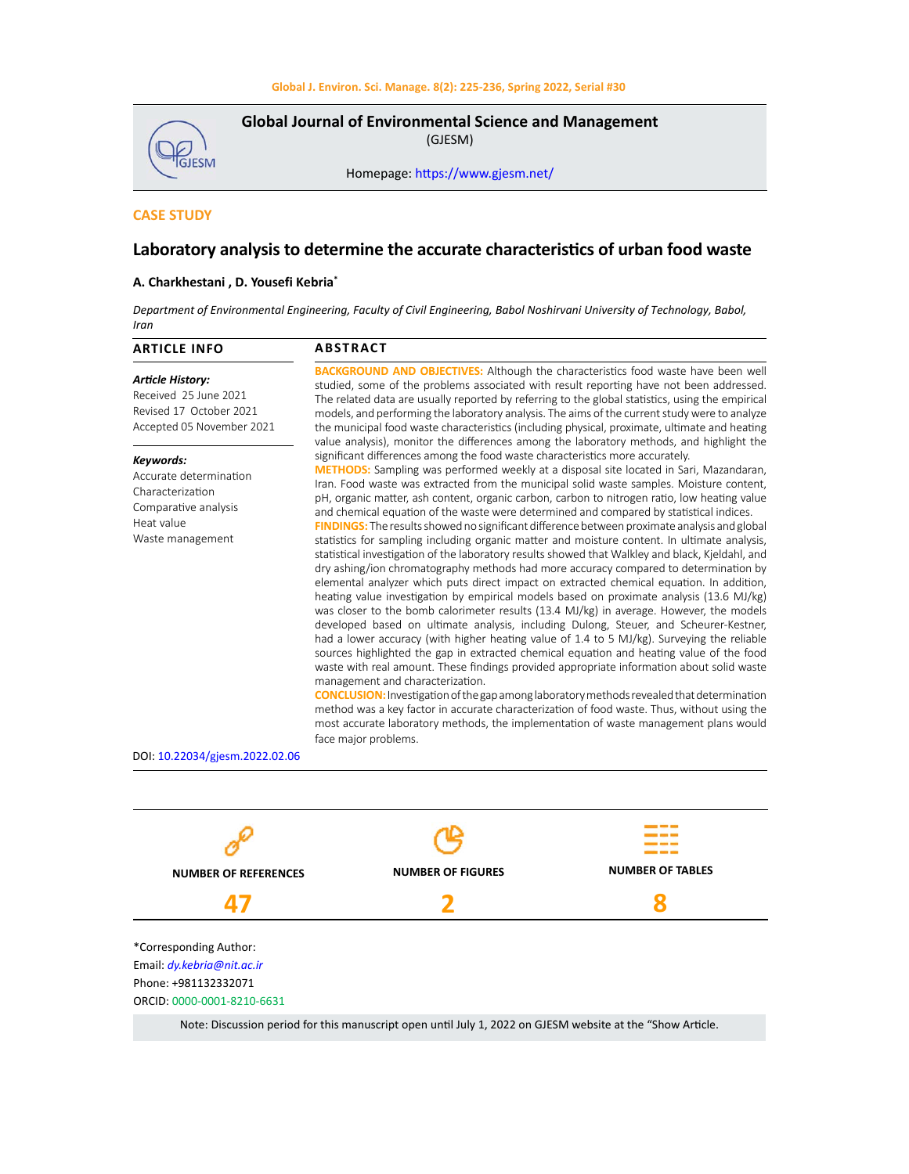**GJESM** 

**Global Journal of Environmental Science and Management**  (GJESM)

Homepage: [https://www.gjesm.net/](https://www.gjesm.net/ )

# **CASE STUDY**

# **Laboratory analysis to determine the accurate characteristics of urban food waste**

# **A. Charkhestani , D. Yousefi Kebria\***

Department of Environmental Engineering, Faculty of Civil Engineering, Babol Noshirvani University of Technology, Babol, *Iran*

| <b>BACKGROUND AND OBJECTIVES:</b> Although the characteristics food waste have been well<br><b>Article History:</b><br>studied, some of the problems associated with result reporting have not been addressed.<br>Received 25 June 2021<br>The related data are usually reported by referring to the global statistics, using the empirical<br>Revised 17 October 2021<br>models, and performing the laboratory analysis. The aims of the current study were to analyze<br>Accepted 05 November 2021<br>the municipal food waste characteristics (including physical, proximate, ultimate and heating<br>value analysis), monitor the differences among the laboratory methods, and highlight the<br>significant differences among the food waste characteristics more accurately.<br>Keywords:<br><b>METHODS:</b> Sampling was performed weekly at a disposal site located in Sari, Mazandaran,<br>Accurate determination<br>Iran. Food waste was extracted from the municipal solid waste samples. Moisture content,<br>Characterization<br>pH, organic matter, ash content, organic carbon, carbon to nitrogen ratio, low heating value<br>Comparative analysis<br>and chemical equation of the waste were determined and compared by statistical indices.<br>Heat value<br><b>FINDINGS:</b> The results showed no significant difference between proximate analysis and global<br>Waste management<br>statistics for sampling including organic matter and moisture content. In ultimate analysis,<br>statistical investigation of the laboratory results showed that Walkley and black, Kjeldahl, and<br>dry ashing/ion chromatography methods had more accuracy compared to determination by<br>elemental analyzer which puts direct impact on extracted chemical equation. In addition,<br>heating value investigation by empirical models based on proximate analysis (13.6 MJ/kg)<br>was closer to the bomb calorimeter results (13.4 MJ/kg) in average. However, the models<br>developed based on ultimate analysis, including Dulong, Steuer, and Scheurer-Kestner,<br>had a lower accuracy (with higher heating value of 1.4 to 5 MJ/kg). Surveying the reliable<br>sources highlighted the gap in extracted chemical equation and heating value of the food<br>waste with real amount. These findings provided appropriate information about solid waste<br>management and characterization.<br><b>CONCLUSION:</b> Investigation of the gap among laboratory methods revealed that determination<br>method was a key factor in accurate characterization of food waste. Thus, without using the<br>most accurate laboratory methods, the implementation of waste management plans would<br>face major problems.<br>DOI: 10.22034/gjesm.2022.02.06 | <b>ARTICLE INFO</b> | <b>ABSTRACT</b> |
|----------------------------------------------------------------------------------------------------------------------------------------------------------------------------------------------------------------------------------------------------------------------------------------------------------------------------------------------------------------------------------------------------------------------------------------------------------------------------------------------------------------------------------------------------------------------------------------------------------------------------------------------------------------------------------------------------------------------------------------------------------------------------------------------------------------------------------------------------------------------------------------------------------------------------------------------------------------------------------------------------------------------------------------------------------------------------------------------------------------------------------------------------------------------------------------------------------------------------------------------------------------------------------------------------------------------------------------------------------------------------------------------------------------------------------------------------------------------------------------------------------------------------------------------------------------------------------------------------------------------------------------------------------------------------------------------------------------------------------------------------------------------------------------------------------------------------------------------------------------------------------------------------------------------------------------------------------------------------------------------------------------------------------------------------------------------------------------------------------------------------------------------------------------------------------------------------------------------------------------------------------------------------------------------------------------------------------------------------------------------------------------------------------------------------------------------------------------------------------------------------------------------------------------------------------------------------------------------------------------------------------------------------------------------------------------------------------------------------------------------------------------|---------------------|-----------------|
|                                                                                                                                                                                                                                                                                                                                                                                                                                                                                                                                                                                                                                                                                                                                                                                                                                                                                                                                                                                                                                                                                                                                                                                                                                                                                                                                                                                                                                                                                                                                                                                                                                                                                                                                                                                                                                                                                                                                                                                                                                                                                                                                                                                                                                                                                                                                                                                                                                                                                                                                                                                                                                                                                                                                                                |                     |                 |
|                                                                                                                                                                                                                                                                                                                                                                                                                                                                                                                                                                                                                                                                                                                                                                                                                                                                                                                                                                                                                                                                                                                                                                                                                                                                                                                                                                                                                                                                                                                                                                                                                                                                                                                                                                                                                                                                                                                                                                                                                                                                                                                                                                                                                                                                                                                                                                                                                                                                                                                                                                                                                                                                                                                                                                |                     |                 |
|                                                                                                                                                                                                                                                                                                                                                                                                                                                                                                                                                                                                                                                                                                                                                                                                                                                                                                                                                                                                                                                                                                                                                                                                                                                                                                                                                                                                                                                                                                                                                                                                                                                                                                                                                                                                                                                                                                                                                                                                                                                                                                                                                                                                                                                                                                                                                                                                                                                                                                                                                                                                                                                                                                                                                                |                     |                 |



Note: Discussion period for this manuscript open until July 1, 2022 on GJESM website at the "Show Article.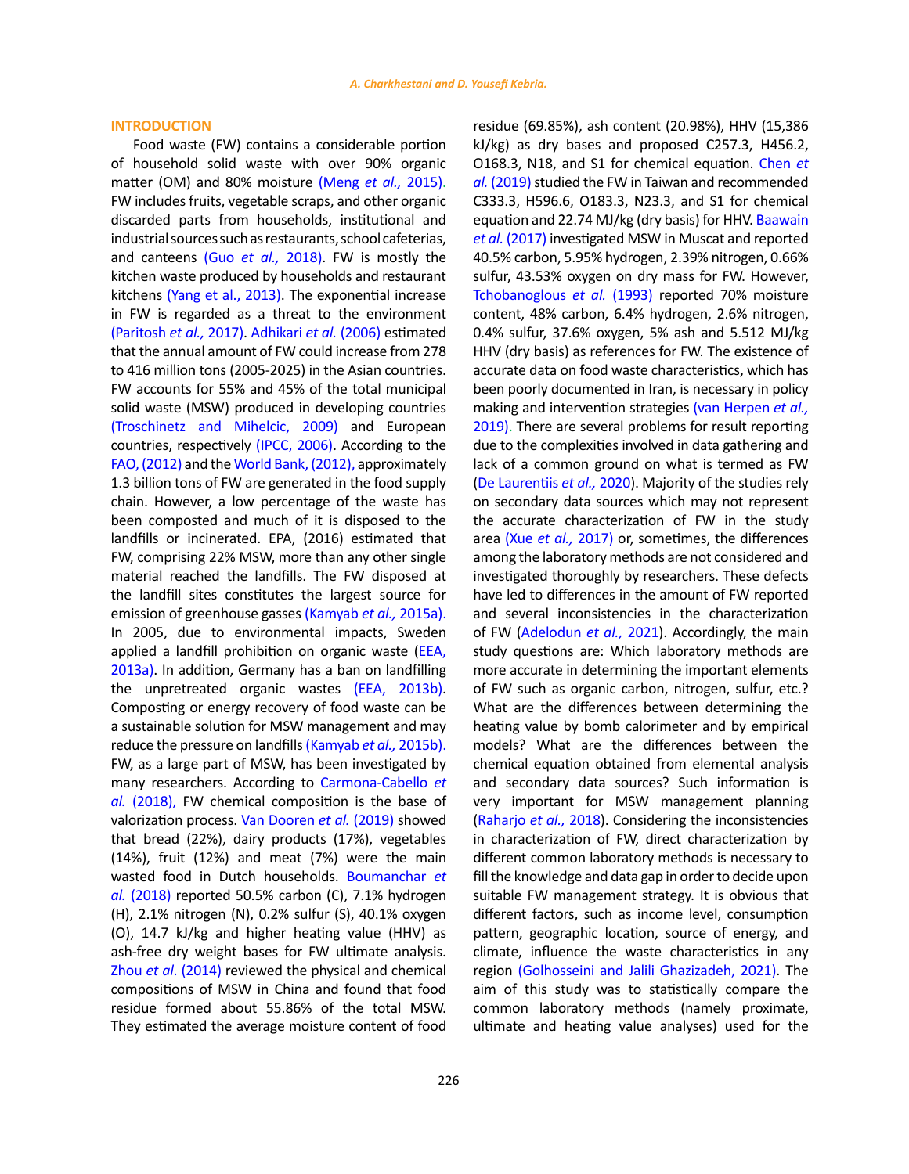## **INTRODUCTION**

Food waste (FW) contains a considerable portion of household solid waste with over 90% organic matter (OM) and 80% moisture [\(Meng](#page-11-0) *et al.,* 2015). FW includes fruits, vegetable scraps, and other organic discarded parts from households, institutional and industrial sources such as restaurants, school cafeterias, and canteens (Guo *et al.,* [2018\)](#page-10-0). FW is mostly the kitchen waste produced by households and restaurant kitchens [\(Yang et al., 2013\).](#page-11-0) The exponential increase in FW is regarded as a threat to the environment [\(Paritosh](#page-11-0) *et al.,* 2017). [Adhikari](#page-10-0) *et al.* (2006) estimated that the annual amount of FW could increase from 278 to 416 million tons (2005-2025) in the Asian countries. FW accounts for 55% and 45% of the total municipal solid waste (MSW) produced in developing countries [\(Troschinetz and Mihelcic, 2009\)](#page-11-0) and European countries, respectively [\(IPCC, 2006\).](#page-10-0) According to the [FAO, \(2012\)](#page-10-0) and the [World Bank, \(2012\),](#page-11-0) approximately 1.3 billion tons of FW are generated in the food supply chain. However, a low percentage of the waste has been composted and much of it is disposed to the landfills or incinerated. EPA, (2016) estimated that FW, comprising 22% MSW, more than any other single material reached the landfills. The FW disposed at the landfill sites constitutes the largest source for emission of greenhouse gasses [\(Kamyab](#page-11-0) *et al.,* 2015a). In 2005, due to environmental impacts, Sweden applied a landfill prohibition on organic waste ([EEA,](#page-10-0)  [2013a\)](#page-10-0). In addition, Germany has a ban on landfilling the unpretreated organic wastes ([EEA, 2013b\)](#page-10-0). Composting or energy recovery of food waste can be a sustainable solution for MSW management and may reduce the pressure on landfills [\(Kamyab](#page-11-0) *et al.,* 2015b). FW, as a large part of MSW, has been investigated by many researchers. According to [Carmona-Cabello](#page-10-0) *et al.* [\(2018\)](#page-10-0), FW chemical composition is the base of valorization process. [Van Dooren](#page-11-0) *et al.* (2019) showed that bread (22%), dairy products (17%), vegetables (14%), fruit (12%) and meat (7%) were the main wasted food in Dutch households. [Boumanchar](#page-10-0) *et al.* [\(2018\)](#page-10-0) reported 50.5% carbon (C), 7.1% hydrogen (H), 2.1% nitrogen (N), 0.2% sulfur (S), 40.1% oxygen (O), 14.7 kJ/kg and higher heating value (HHV) as ash-free dry weight bases for FW ultimate analysis. Zhou *et al*[. \(2014\)](#page-11-0) reviewed the physical and chemical compositions of MSW in China and found that food residue formed about 55.86% of the total MSW. They estimated the average moisture content of food

residue (69.85%), ash content (20.98%), HHV (15,386 kJ/kg) as dry bases and proposed C257.3, H456.2, O168.3, N18, and S1 for chemical equation. [Chen](#page-10-0) *et al.* [\(2019\)](#page-10-0) studied the FW in Taiwan and recommended C333.3, H596.6, O183.3, N23.3, and S1 for chemical equation and 22.74 MJ/kg (dry basis) for HHV. [Baawain](#page-10-0) *et al.* [\(2017\)](#page-10-0) investigated MSW in Muscat and reported 40.5% carbon, 5.95% hydrogen, 2.39% nitrogen, 0.66% sulfur, 43.53% oxygen on dry mass for FW. However, [Tchobanoglous](#page-11-0) *et al.* (1993) reported 70% moisture content, 48% carbon, 6.4% hydrogen, 2.6% nitrogen, 0.4% sulfur, 37.6% oxygen, 5% ash and 5.512 MJ/kg HHV (dry basis) as references for FW. The existence of accurate data on food waste characteristics, which has been poorly documented in Iran, is necessary in policy making and intervention strategies [\(van Herpen](#page-11-0) *et al.,* [2019\)](#page-11-0). There are several problems for result reporting due to the complexities involved in data gathering and lack of a common ground on what is termed as FW ([De Laurentiis](#page-10-0) *et al.,* 2020). Majority of the studies rely on secondary data sources which may not represent the accurate characterization of FW in the study area (Xue *et al.,* [2017\)](#page-11-0) or, sometimes, the differences among the laboratory methods are not considered and investigated thoroughly by researchers. These defects have led to differences in the amount of FW reported and several inconsistencies in the characterization of FW ([Adelodun](#page-10-0) *et al.,* 2021). Accordingly, the main study questions are: Which laboratory methods are more accurate in determining the important elements of FW such as organic carbon, nitrogen, sulfur, etc.? What are the differences between determining the heating value by bomb calorimeter and by empirical models? What are the differences between the chemical equation obtained from elemental analysis and secondary data sources? Such information is very important for MSW management planning ([Raharjo](#page-11-0) *et al.,* 2018). Considering the inconsistencies in characterization of FW, direct characterization by different common laboratory methods is necessary to fill the knowledge and data gap in order to decide upon suitable FW management strategy. It is obvious that different factors, such as income level, consumption pattern, geographic location, source of energy, and climate, influence the waste characteristics in any region ([Golhosseini and Jalili Ghazizadeh, 2021\).](#page-10-0) The aim of this study was to statistically compare the common laboratory methods (namely proximate, ultimate and heating value analyses) used for the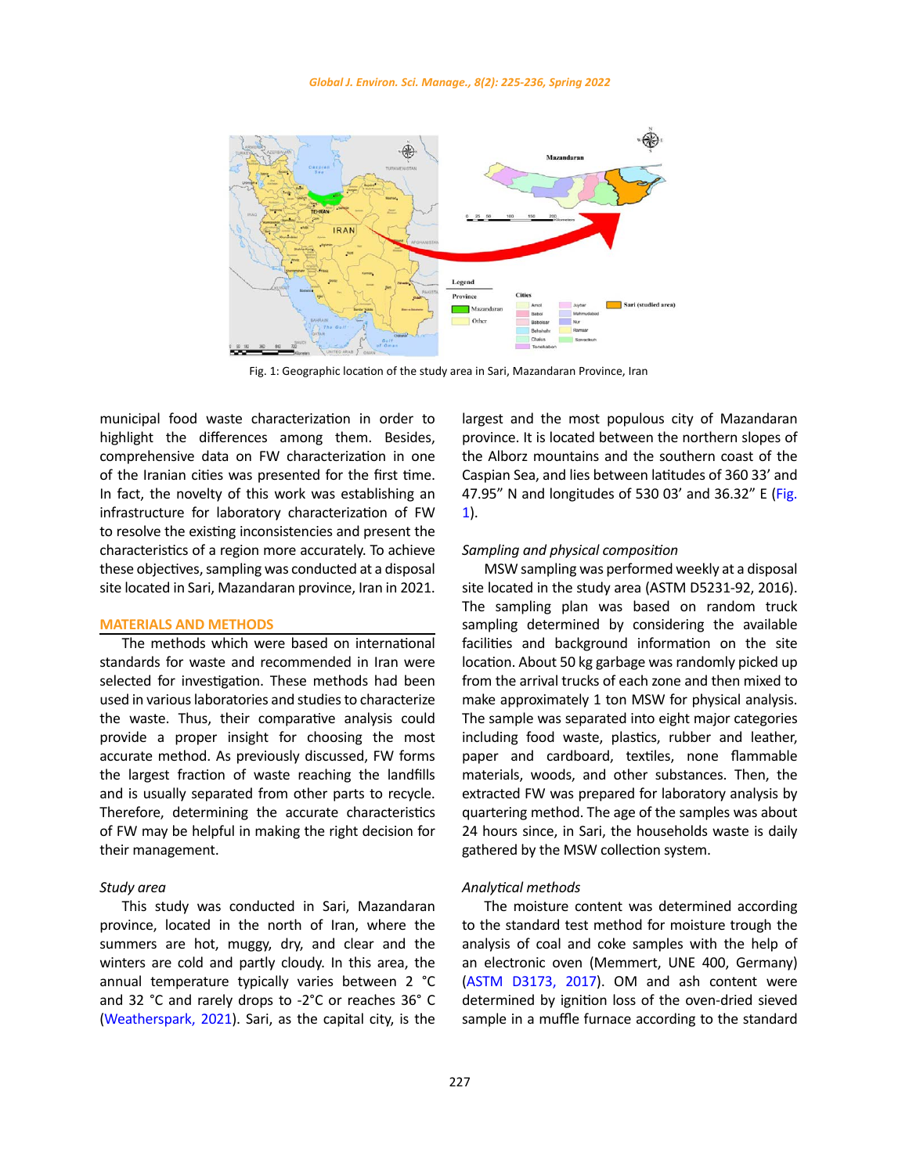

Fig. 1: Geographic location of the study area in Sari, Mazandaran Province, Iran

municipal food waste characterization in order to highlight the differences among them. Besides, comprehensive data on FW characterization in one of the Iranian cities was presented for the first time. In fact, the novelty of this work was establishing an infrastructure for laboratory characterization of FW to resolve the existing inconsistencies and present the characteristics of a region more accurately. To achieve these objectives, sampling was conducted at a disposal site located in Sari, Mazandaran province, Iran in 2021.

# **MATERIALS AND METHODS**

The methods which were based on international standards for waste and recommended in Iran were selected for investigation. These methods had been used in various laboratories and studies to characterize the waste. Thus, their comparative analysis could provide a proper insight for choosing the most accurate method. As previously discussed, FW forms the largest fraction of waste reaching the landfills and is usually separated from other parts to recycle. Therefore, determining the accurate characteristics of FW may be helpful in making the right decision for their management.

## *Study area*

This study was conducted in Sari, Mazandaran province, located in the north of Iran, where the summers are hot, muggy, dry, and clear and the winters are cold and partly cloudy. In this area, the annual temperature typically varies between 2 °C and 32 °C and rarely drops to -2°C or reaches 36° C ([Weatherspark, 2021](#page-11-0)). Sari, as the capital city, is the largest and the most populous city of Mazandaran province. It is located between the northern slopes of the Alborz mountains and the southern coast of the Caspian Sea, and lies between latitudes of 360 33' and 47.95" N and longitudes of 530 03' and 36.32" E (Fig. 1).

## *Sampling and physical composition*

MSW sampling was performed weekly at a disposal site located in the study area (ASTM D5231-92, 2016). The sampling plan was based on random truck sampling determined by considering the available facilities and background information on the site location. About 50 kg garbage was randomly picked up from the arrival trucks of each zone and then mixed to make approximately 1 ton MSW for physical analysis. The sample was separated into eight major categories including food waste, plastics, rubber and leather, paper and cardboard, textiles, none flammable materials, woods, and other substances. Then, the extracted FW was prepared for laboratory analysis by quartering method. The age of the samples was about 24 hours since, in Sari, the households waste is daily gathered by the MSW collection system.

## *Analytical methods*

The moisture content was determined according to the standard test method for moisture trough the analysis of coal and coke samples with the help of an electronic oven (Memmert, UNE 400, Germany) ([ASTM D3173, 2017\)](#page-10-0). OM and ash content were determined by ignition loss of the oven-dried sieved sample in a muffle furnace according to the standard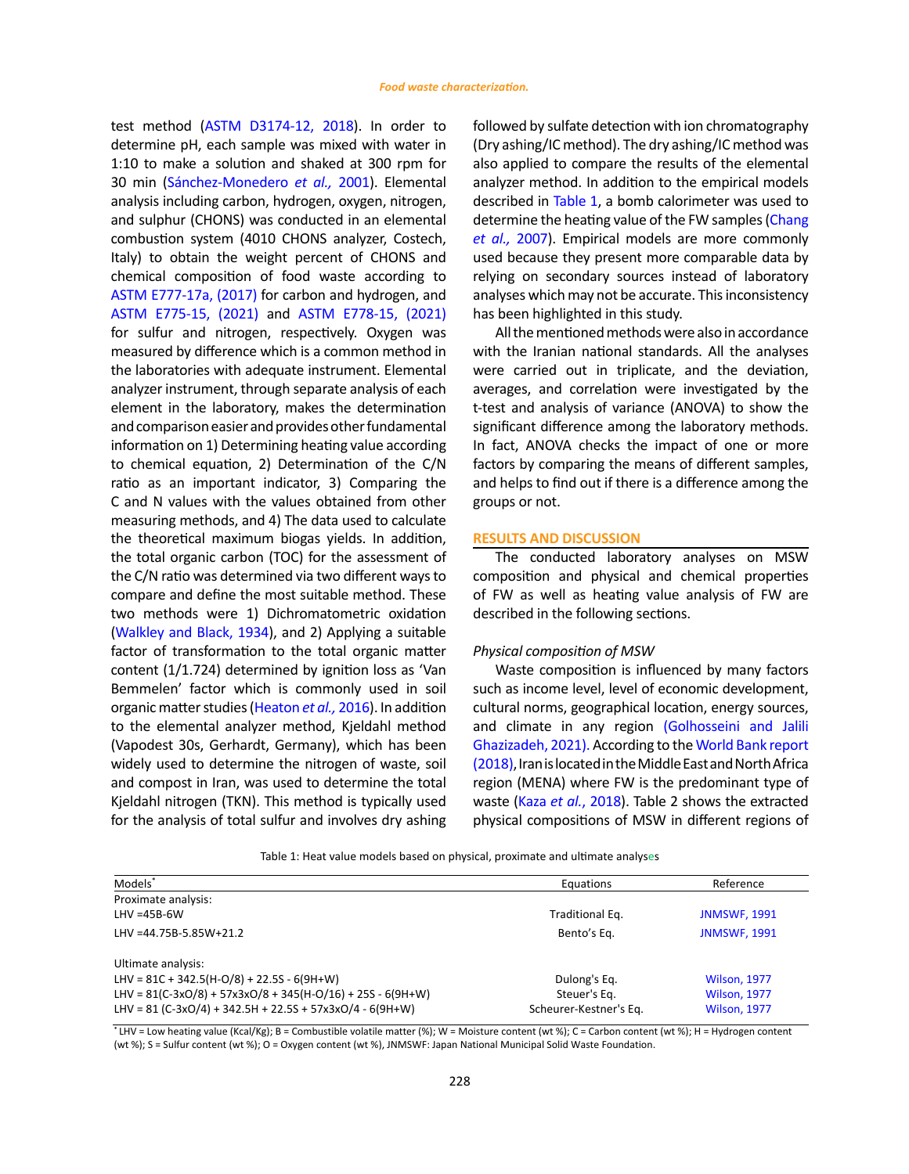test method ([ASTM D3174-12, 2018](#page-10-0)). In order to determine pH, each sample was mixed with water in 1:10 to make a solution and shaked at 300 rpm for 30 min ([Sánchez-Monedero](#page-11-0) *et al.,* 2001). Elemental analysis including carbon, hydrogen, oxygen, nitrogen, and sulphur (CHONS) was conducted in an elemental combustion system (4010 CHONS analyzer, Costech, Italy) to obtain the weight percent of CHONS and chemical composition of food waste according to ASTM [E777](#page-10-0)-17a, (2017) for carbon and hydrogen, and [ASTM E775-15, \(2021\)](#page-10-0) and ASTM [E778](#page-10-0)-15, (2021) for sulfur and nitrogen, respectively. Oxygen was measured by difference which is a common method in the laboratories with adequate instrument. Elemental analyzer instrument, through separate analysis of each element in the laboratory, makes the determination and comparison easier and provides other fundamental information on 1) Determining heating value according to chemical equation, 2) Determination of the C/N ratio as an important indicator, 3) Comparing the C and N values with the values obtained from other measuring methods, and 4) The data used to calculate the theoretical maximum biogas yields. In addition, the total organic carbon (TOC) for the assessment of the C/N ratio was determined via two different ways to compare and define the most suitable method. These two methods were 1) Dichromatometric oxidation ([Walkley and Black, 1934\)](#page-11-0), and 2) Applying a suitable factor of transformation to the total organic matter content (1/1.724) determined by ignition loss as 'Van Bemmelen' factor which is commonly used in soil organic matter studies ([Heaton](#page-10-0) *et al.,* 2016). In addition to the elemental analyzer method, Kjeldahl method (Vapodest 30s, Gerhardt, Germany), which has been widely used to determine the nitrogen of waste, soil and compost in Iran, was used to determine the total Kjeldahl nitrogen (TKN). This method is typically used for the analysis of total sulfur and involves dry ashing followed by sulfate detection with ion chromatography (Dry ashing/IC method). The dry ashing/IC method was also applied to compare the results of the elemental analyzer method. In addition to the empirical models described in Table 1, a bomb calorimeter was used to determine the heating value of the FW samples ([Chang](#page-10-0) *[et al.,](#page-10-0)* 2007). Empirical models are more commonly used because they present more comparable data by relying on secondary sources instead of laboratory analyses which may not be accurate. This inconsistency has been highlighted in this study.

All the mentioned methods were also in accordance with the Iranian national standards. All the analyses were carried out in triplicate, and the deviation, averages, and correlation were investigated by the t-test and analysis of variance (ANOVA) to show the significant difference among the laboratory methods. In fact, ANOVA checks the impact of one or more factors by comparing the means of different samples, and helps to find out if there is a difference among the groups or not.

### **RESULTS AND DISCUSSION**

The conducted laboratory analyses on MSW composition and physical and chemical properties of FW as well as heating value analysis of FW are described in the following sections.

## *Physical composition of MSW*

Waste composition is influenced by many factors such as income level, level of economic development, cultural norms, geographical location, energy sources, and climate in any region [\(Golhosseini and Jalili](#page-10-0) [Ghazizadeh, 2021\).](#page-10-0) According to the [World Bank report](#page-11-0) [\(2018\)](#page-11-0), Iran is located in the Middle East and North Africa region (MENA) where FW is the predominant type of waste (Kaza *et al.*[, 2018](#page-10-0)). Table 2 shows the extracted physical compositions of MSW in different regions of

Table 1: Heat value models based on physical, proximate and ultimate analyses Table 1: Heat value models based on physical, proximate and ultimate analyses

| Models <sup>*</sup>                                          | Equations              | Reference           |
|--------------------------------------------------------------|------------------------|---------------------|
| Proximate analysis:                                          |                        |                     |
| $LHV = 45B - 6W$                                             | Traditional Eq.        | <b>JNMSWF, 1991</b> |
| LHV =44.75B-5.85W+21.2                                       | Bento's Eq.            | <b>JNMSWF, 1991</b> |
| Ultimate analysis:                                           |                        |                     |
| LHV = $81C + 342.5(H-O/8) + 22.5S - 6(9H+W)$                 | Dulong's Eq.           | <b>Wilson, 1977</b> |
| LHV = $81(C-3xO/8) + 57x3xO/8 + 345(H-O/16) + 25S - 6(9H+W)$ | Steuer's Eq.           | <b>Wilson, 1977</b> |
| LHV = $81 (C-3xO/4) + 342.5H + 22.5S + 57x3xO/4 - 6(9H+W)$   | Scheurer-Kestner's Eq. | <b>Wilson, 1977</b> |

\*LHV = Low heating value (Kcal/Kg); B = Combustible volatile matter (%); W = Moisture content (wt %); C = Carbon content (wt %); H = Hydrogen content (wt %); S = Sulfur content (wt %); O = Oxygen content (wt %), JNMSWF: Japan National Municipal Solid Waste Foundation.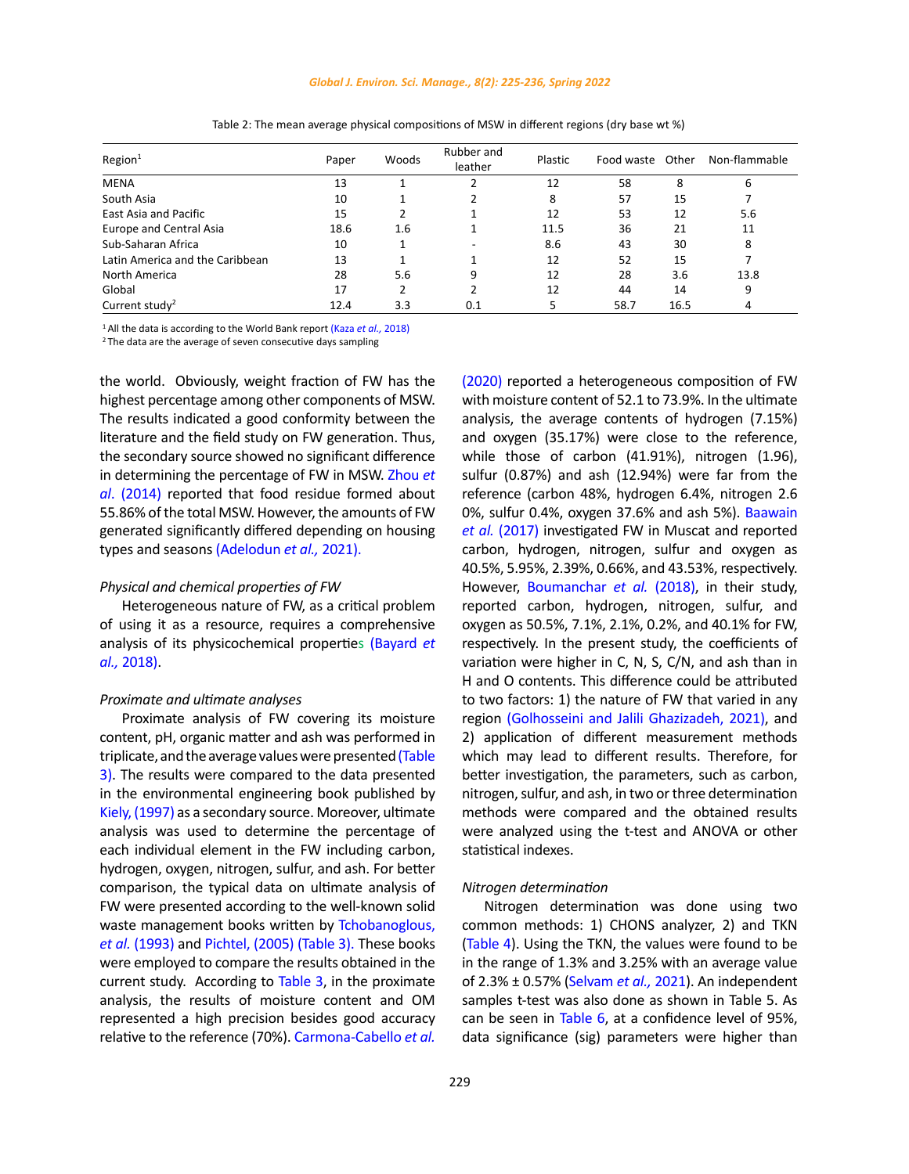## *Global J. Environ. Sci. Manage., 8(2): 225-236, Spring 2022*

| Region <sup>1</sup>             | Paper | Woods | Rubber and<br>leather | Plastic | Food waste Other |      | Non-flammable |
|---------------------------------|-------|-------|-----------------------|---------|------------------|------|---------------|
| <b>MENA</b>                     | 13    |       |                       | 12      | 58               | 8    | b             |
| South Asia                      | 10    |       |                       | 8       | 57               | 15   |               |
| East Asia and Pacific           | 15    |       |                       | 12      | 53               | 12   | 5.6           |
| Europe and Central Asia         | 18.6  | 1.6   |                       | 11.5    | 36               | 21   | 11            |
| Sub-Saharan Africa              | 10    |       |                       | 8.6     | 43               | 30   | 8             |
| Latin America and the Caribbean | 13    |       |                       | 12      | 52               | 15   |               |
| North America                   | 28    | 5.6   | 9                     | 12      | 28               | 3.6  | 13.8          |
| Global                          | 17    | 2     |                       | 12      | 44               | 14   | 9             |
| Current study <sup>2</sup>      | 12.4  | 3.3   | 0.1                   |         | 58.7             | 16.5 | 4             |

# Table 2: The mean average physical compositions of MSW in different regions (dry base wt %) Table 2: The mean average physical compositions of MSW in different regions (dry base wt %)

<sup>1</sup> All the data is according to the World Bank repor[t \(Kaza](#page-10-0) *et al.,* 2018)

 $2$  The data are the average of seven consecutive days sampling

the world. Obviously, weight fraction of FW has the highest percentage among other components of MSW. The results indicated a good conformity between the literature and the field study on FW generation. Thus, the secondary source showed no significant difference in determining the percentage of FW in MSW. [Zhou](#page-11-0) *et al*[. \(2014\)](#page-11-0) reported that food residue formed about 55.86% of the total MSW. However, the amounts of FW generated significantly differed depending on housing types and seasons [\(Adelodun](#page-10-0) *et al.,* 2021).

# *Physical and chemical properties of FW*

Heterogeneous nature of FW, as a critical problem of using it as a resource, requires a comprehensive analysis of its physicochemical properties [\(Bayard](#page-10-0) *et al.,* [2018\)](#page-10-0).

# *Proximate and ultimate analyses*

Proximate analysis of FW covering its moisture content, pH, organic matter and ash was performed in triplicate, and the average values were presented (Table [3\)](#page-5-0). The results were compared to the data presented in the environmental engineering book published by Kiely, (1997) as a secondary source. Moreover, ultimate analysis was used to determine the percentage of each individual element in the FW including carbon, hydrogen, oxygen, nitrogen, sulfur, and ash. For better comparison, the typical data on ultimate analysis of FW were presented according to the well-known solid waste management books written by [Tchobanoglous,](#page-11-0)  *et al.* [\(1993\)](#page-11-0) and [Pichtel, \(2005\)](#page-11-0) [\(Table 3\)](#page-5-0). These books were employed to compare the results obtained in the current study. According to [Table 3,](#page-5-0) in the proximate analysis, the results of moisture content and OM represented a high precision besides good accuracy relative to the reference (70%). [Carmona-Cabello](#page-10-0) *et al.*

[\(2020\)](#page-10-0) reported a heterogeneous composition of FW with moisture content of 52.1 to 73.9%. In the ultimate analysis, the average contents of hydrogen (7.15%) and oxygen (35.17%) were close to the reference, while those of carbon (41.91%), nitrogen (1.96), sulfur (0.87%) and ash (12.94%) were far from the reference (carbon 48%, hydrogen 6.4%, nitrogen 2.6 0%, sulfur 0.4%, oxygen 37.6% and ash 5%). [Baawain](#page-10-0) *et al.* [\(2017\)](#page-10-0) investigated FW in Muscat and reported carbon, hydrogen, nitrogen, sulfur and oxygen as 40.5%, 5.95%, 2.39%, 0.66%, and 43.53%, respectively. However, [Boumanchar](#page-10-0) *et al.* (2018), in their study, reported carbon, hydrogen, nitrogen, sulfur, and oxygen as 50.5%, 7.1%, 2.1%, 0.2%, and 40.1% for FW, respectively. In the present study, the coefficients of variation were higher in C, N, S, C/N, and ash than in H and O contents. This difference could be attributed to two factors: 1) the nature of FW that varied in any region [\(Golhosseini and Jalili Ghazizadeh, 2021\)](#page-10-0), and 2) application of different measurement methods which may lead to different results. Therefore, for better investigation, the parameters, such as carbon, nitrogen, sulfur, and ash, in two or three determination methods were compared and the obtained results were analyzed using the t-test and ANOVA or other statistical indexes.

## *Nitrogen determination*

Nitrogen determination was done using two common methods: 1) CHONS analyzer, 2) and TKN ([Table 4\)](#page-5-0). Using the TKN, the values were found to be in the range of 1.3% and 3.25% with an average value of 2.3% ± 0.57% [\(Selvam](#page-11-0) *et al.,* 2021). An independent samples t-test was also done as shown in Table 5. As can be seen in [Table 6,](#page-6-0) at a confidence level of 95%, data significance (sig) parameters were higher than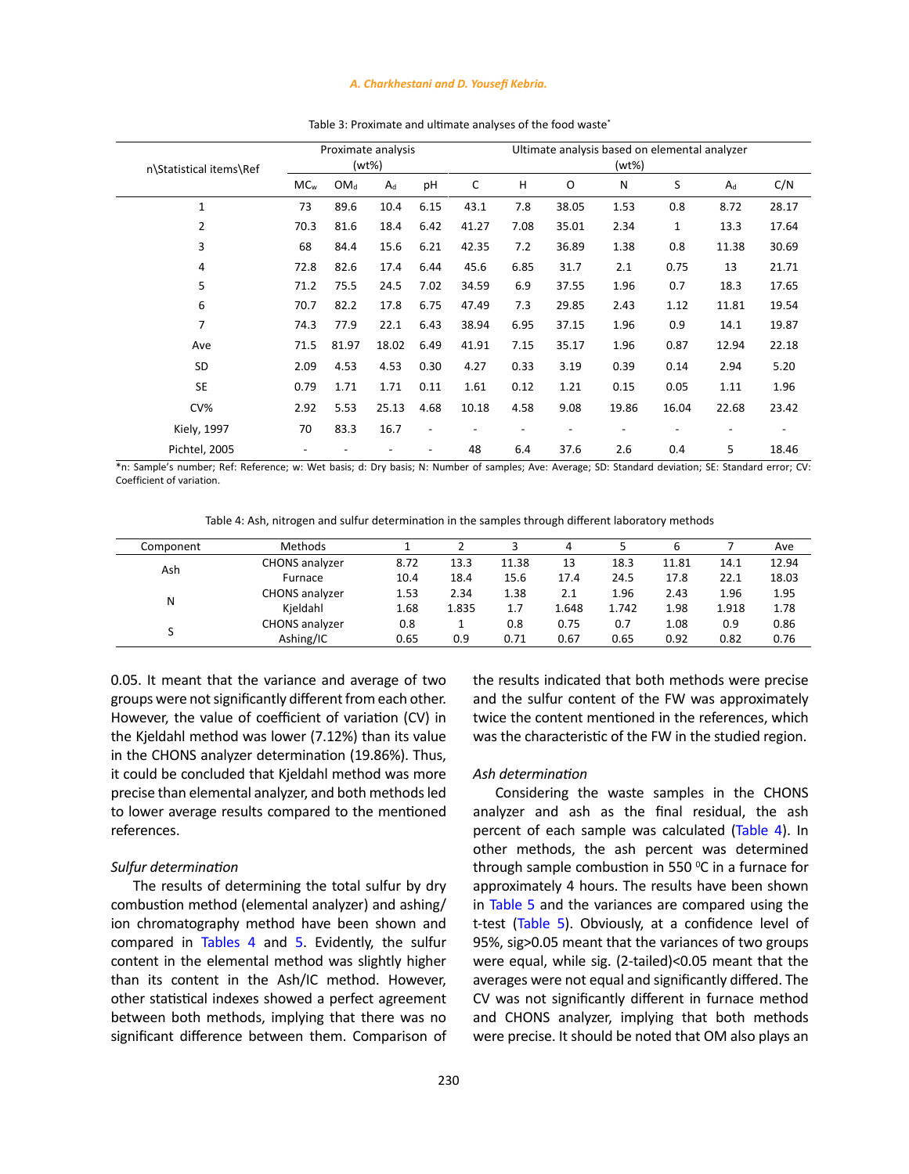### *A. Charkhestani and D. Yousefi Kebria.*

<span id="page-5-0"></span>

| n\Statistical items\Ref | Proximate analysis<br>(wt%) |                 |       |                          | Ultimate analysis based on elemental analyzer<br>(wt%) |      |       |       |             |       |       |
|-------------------------|-----------------------------|-----------------|-------|--------------------------|--------------------------------------------------------|------|-------|-------|-------------|-------|-------|
|                         | MC <sub>w</sub>             | OM <sub>d</sub> | $A_d$ | pH                       | C                                                      | Н    | O     | N     | S           | $A_d$ | C/N   |
| $\mathbf{1}$            | 73                          | 89.6            | 10.4  | 6.15                     | 43.1                                                   | 7.8  | 38.05 | 1.53  | 0.8         | 8.72  | 28.17 |
| 2                       | 70.3                        | 81.6            | 18.4  | 6.42                     | 41.27                                                  | 7.08 | 35.01 | 2.34  | $\mathbf 1$ | 13.3  | 17.64 |
| 3                       | 68                          | 84.4            | 15.6  | 6.21                     | 42.35                                                  | 7.2  | 36.89 | 1.38  | 0.8         | 11.38 | 30.69 |
| 4                       | 72.8                        | 82.6            | 17.4  | 6.44                     | 45.6                                                   | 6.85 | 31.7  | 2.1   | 0.75        | 13    | 21.71 |
| 5                       | 71.2                        | 75.5            | 24.5  | 7.02                     | 34.59                                                  | 6.9  | 37.55 | 1.96  | 0.7         | 18.3  | 17.65 |
| 6                       | 70.7                        | 82.2            | 17.8  | 6.75                     | 47.49                                                  | 7.3  | 29.85 | 2.43  | 1.12        | 11.81 | 19.54 |
| 7                       | 74.3                        | 77.9            | 22.1  | 6.43                     | 38.94                                                  | 6.95 | 37.15 | 1.96  | 0.9         | 14.1  | 19.87 |
| Ave                     | 71.5                        | 81.97           | 18.02 | 6.49                     | 41.91                                                  | 7.15 | 35.17 | 1.96  | 0.87        | 12.94 | 22.18 |
| SD                      | 2.09                        | 4.53            | 4.53  | 0.30                     | 4.27                                                   | 0.33 | 3.19  | 0.39  | 0.14        | 2.94  | 5.20  |
| <b>SE</b>               | 0.79                        | 1.71            | 1.71  | 0.11                     | 1.61                                                   | 0.12 | 1.21  | 0.15  | 0.05        | 1.11  | 1.96  |
| CV%                     | 2.92                        | 5.53            | 25.13 | 4.68                     | 10.18                                                  | 4.58 | 9.08  | 19.86 | 16.04       | 22.68 | 23.42 |
| Kiely, 1997             | 70                          | 83.3            | 16.7  | $\overline{\phantom{a}}$ |                                                        |      |       |       |             |       |       |
| Pichtel, 2005           |                             |                 |       |                          | 48                                                     | 6.4  | 37.6  | 2.6   | 0.4         | 5     | 18.46 |

Table 3: Proximate and ultimate analyses of the food waste\* Table 3: Proximate and ultimate analyses of the food waste\*

\*n: Sample's number; Ref: Reference; w: Wet basis; d: Dry basis; N: Number of samples; Ave: Average; SD: Standard deviation; SE: Standard error; CV: Coefficient of variation.

Table 4: Ash, nitrogen and sulfur determination in the samples through different laboratory methods Table 4: Ash, nitrogen and sulfur determination in the samples through different laboratory methods

| Methods               |      |       |       | 4     |       | 6     |       | Ave   |
|-----------------------|------|-------|-------|-------|-------|-------|-------|-------|
| <b>CHONS</b> analyzer | 8.72 | 13.3  | 11.38 | 13    | 18.3  | 11.81 | 14.1  | 12.94 |
| Furnace               | 10.4 | 18.4  | 15.6  | 17.4  | 24.5  | 17.8  | 22.1  | 18.03 |
| <b>CHONS</b> analyzer | 1.53 | 2.34  | 1.38  | 2.1   | 1.96  | 2.43  | 1.96  | 1.95  |
| Kieldahl              | 1.68 | 1.835 | 1.7   | 1.648 | 1.742 | 1.98  | 1.918 | 1.78  |
| <b>CHONS</b> analyzer | 0.8  |       | 0.8   | 0.75  | 0.7   | 1.08  | 0.9   | 0.86  |
| Ashing/IC             | 0.65 | 0.9   | 0.71  | 0.67  | 0.65  | 0.92  | 0.82  | 0.76  |
|                       |      |       |       |       |       |       |       |       |

0.05. It meant that the variance and average of two groups were not significantly different from each other. However, the value of coefficient of variation (CV) in the Kjeldahl method was lower (7.12%) than its value in the CHONS analyzer determination (19.86%). Thus, it could be concluded that Kjeldahl method was more precise than elemental analyzer, and both methods led to lower average results compared to the mentioned references.

## *Sulfur determination*

The results of determining the total sulfur by dry combustion method (elemental analyzer) and ashing/ ion chromatography method have been shown and compared in Tables 4 and [5](#page-6-0). Evidently, the sulfur content in the elemental method was slightly higher than its content in the Ash/IC method. However, other statistical indexes showed a perfect agreement between both methods, implying that there was no significant difference between them. Comparison of the results indicated that both methods were precise and the sulfur content of the FW was approximately twice the content mentioned in the references, which was the characteristic of the FW in the studied region.

## *Ash determination*

Considering the waste samples in the CHONS analyzer and ash as the final residual, the ash percent of each sample was calculated (Table 4). In other methods, the ash percent was determined through sample combustion in 550 $\,^{\circ}$ C in a furnace for approximately 4 hours. The results have been shown in [Table 5](#page-6-0) and the variances are compared using the t-test ([Table 5](#page-6-0)). Obviously, at a confidence level of 95%, sig>0.05 meant that the variances of two groups were equal, while sig. (2-tailed)<0.05 meant that the averages were not equal and significantly differed. The CV was not significantly different in furnace method and CHONS analyzer, implying that both methods were precise. It should be noted that OM also plays an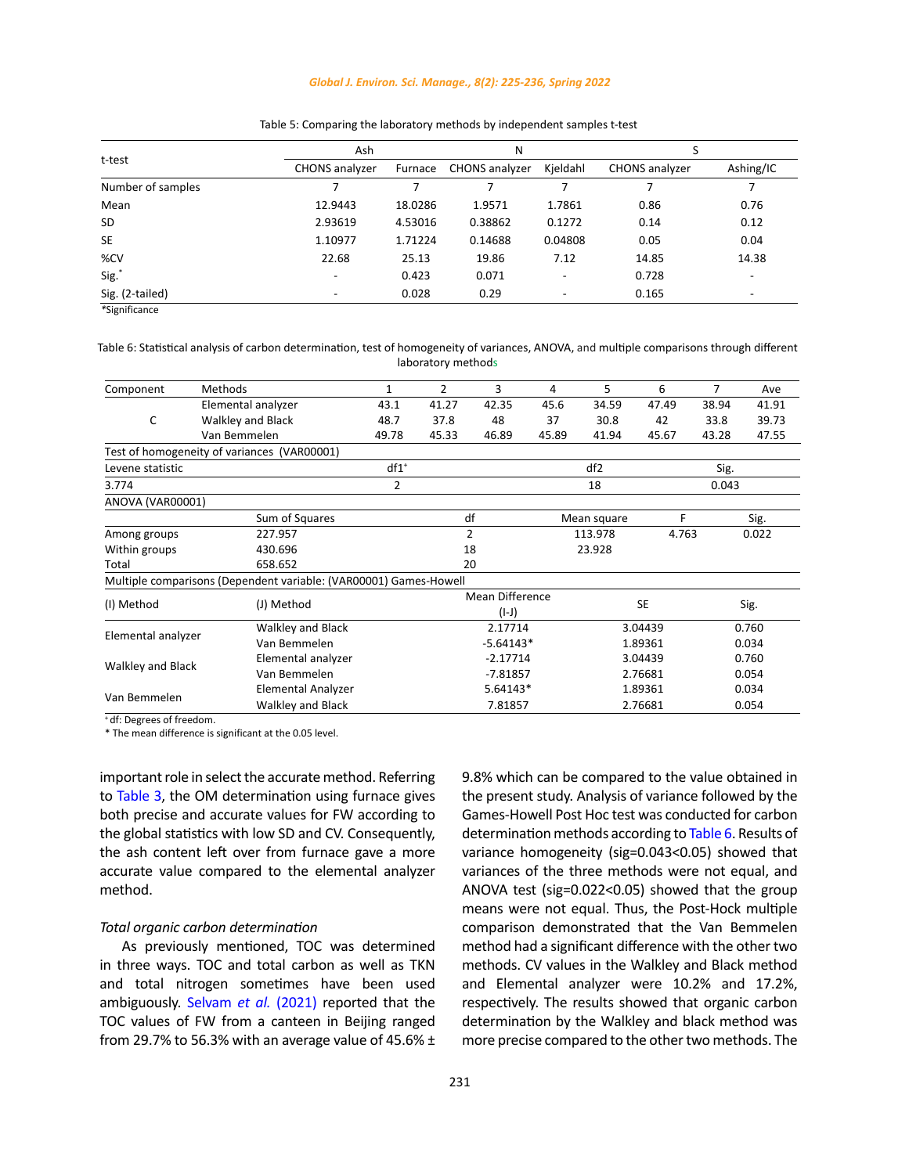## *Global J. Environ. Sci. Manage., 8(2): 225-236, Spring 2022*

<span id="page-6-0"></span>

|                   | Ash                      |         | Ν                     |                          |                |                          |  |
|-------------------|--------------------------|---------|-----------------------|--------------------------|----------------|--------------------------|--|
| t-test            | <b>CHONS</b> analyzer    | Furnace | <b>CHONS</b> analyzer | Kjeldahl                 | CHONS analyzer | Ashing/IC                |  |
| Number of samples |                          |         |                       |                          |                |                          |  |
| Mean              | 12.9443                  | 18.0286 | 1.9571                | 1.7861                   | 0.86           | 0.76                     |  |
| <b>SD</b>         | 2.93619                  | 4.53016 | 0.38862               | 0.1272                   | 0.14           | 0.12                     |  |
| <b>SE</b>         | 1.10977                  | 1.71224 | 0.14688               | 0.04808                  | 0.05           | 0.04                     |  |
| %CV               | 22.68                    | 25.13   | 19.86                 | 7.12                     | 14.85          | 14.38                    |  |
| Sig."             | $\overline{\phantom{0}}$ | 0.423   | 0.071                 | $\overline{\phantom{0}}$ | 0.728          | $\overline{\phantom{0}}$ |  |
| Sig. (2-tailed)   | ۰                        | 0.028   | 0.29                  | $\overline{\phantom{0}}$ | 0.165          | ۰                        |  |

# Table 5: Comparing the laboratory methods by independent samples t-test Table 5: Comparing the laboratory methods by independent samples t-test

*\**Significance Table 6: Statistical analysis of homogeneity of the variances, ANOVA, and multiple comparisons through comparisons through comparisons through comparisons through comparisons through comparisons through c

Table 6: Statistical analysis of carbon determination, test of homogeneity of variances, ANOVA, and multiple comparisons through different laboratory methods

| Component          | Methods                                                           | $\mathbf{1}$   | $\overline{2}$ | 3                      | 4     | 5               | 6       | $\overline{7}$ | Ave   |
|--------------------|-------------------------------------------------------------------|----------------|----------------|------------------------|-------|-----------------|---------|----------------|-------|
|                    | Elemental analyzer                                                | 43.1           | 41.27          | 42.35                  | 45.6  | 34.59           | 47.49   | 38.94          | 41.91 |
| C                  | Walkley and Black                                                 | 48.7           | 37.8           | 48                     | 37    | 30.8            | 42      | 33.8           | 39.73 |
|                    | Van Bemmelen                                                      | 49.78          | 45.33          | 46.89                  | 45.89 | 41.94           | 45.67   | 43.28          | 47.55 |
|                    | Test of homogeneity of variances (VAR00001)                       |                |                |                        |       |                 |         |                |       |
| Levene statistic   |                                                                   | $df1^*$        |                |                        |       | df <sub>2</sub> |         | Sig.           |       |
| 3.774              |                                                                   | $\overline{2}$ |                |                        |       | 18              |         | 0.043          |       |
| ANOVA (VAR00001)   |                                                                   |                |                |                        |       |                 |         |                |       |
|                    | Sum of Squares                                                    |                |                | df                     |       | Mean square     | F       |                | Sig.  |
| Among groups       | 227.957                                                           |                |                | $\overline{2}$         |       | 113.978         | 4.763   |                | 0.022 |
| Within groups      | 430.696                                                           |                |                | 18                     |       | 23.928          |         |                |       |
| Total              | 658.652                                                           |                |                | 20                     |       |                 |         |                |       |
|                    | Multiple comparisons (Dependent variable: (VAR00001) Games-Howell |                |                |                        |       |                 |         |                |       |
|                    | (J) Method                                                        |                |                | <b>Mean Difference</b> |       | <b>SE</b>       |         | Sig.           |       |
| (I) Method         |                                                                   |                | $(I-J)$        |                        |       |                 |         |                |       |
| Elemental analyzer | Walkley and Black                                                 |                |                | 2.17714                |       | 3.04439         |         | 0.760          |       |
|                    | Van Bemmelen                                                      |                |                | $-5.64143*$            |       |                 | 1.89361 |                | 0.034 |
|                    | Elemental analyzer                                                |                |                | $-2.17714$             |       |                 | 3.04439 |                | 0.760 |
| Walkley and Black  | Van Bemmelen                                                      |                |                | $-7.81857$             |       |                 | 2.76681 |                | 0.054 |
| Van Bemmelen       | Elemental Analyzer                                                |                |                | $5.64143*$             |       |                 | 1.89361 |                | 0.034 |
|                    | <b>Walkley and Black</b>                                          |                |                | 7.81857                |       | 2.76681         |         |                | 0.054 |

+ df: Degrees of freedom.

\* The mean difference is significant at the 0.05 level.

important role in select the accurate method. Referring to [Table 3](#page-5-0), the OM determination using furnace gives both precise and accurate values for FW according to the global statistics with low SD and CV. Consequently, the ash content left over from furnace gave a more accurate value compared to the elemental analyzer method.

# *Total organic carbon determination*

As previously mentioned, TOC was determined in three ways. TOC and total carbon as well as TKN and total nitrogen sometimes have been used ambiguously. [Selvam](#page-11-0) *et al.* (2021) reported that the TOC values of FW from a canteen in Beijing ranged from 29.7% to 56.3% with an average value of 45.6%  $\pm$  9.8% which can be compared to the value obtained in the present study. Analysis of variance followed by the Games-Howell Post Hoc test was conducted for carbon determination methods according to Table 6. Results of variance homogeneity (sig=0.043<0.05) showed that variances of the three methods were not equal, and ANOVA test (sig=0.022<0.05) showed that the group means were not equal. Thus, the Post-Hock multiple comparison demonstrated that the Van Bemmelen method had a significant difference with the other two methods. CV values in the Walkley and Black method and Elemental analyzer were 10.2% and 17.2%, respectively. The results showed that organic carbon determination by the Walkley and black method was more precise compared to the other two methods. The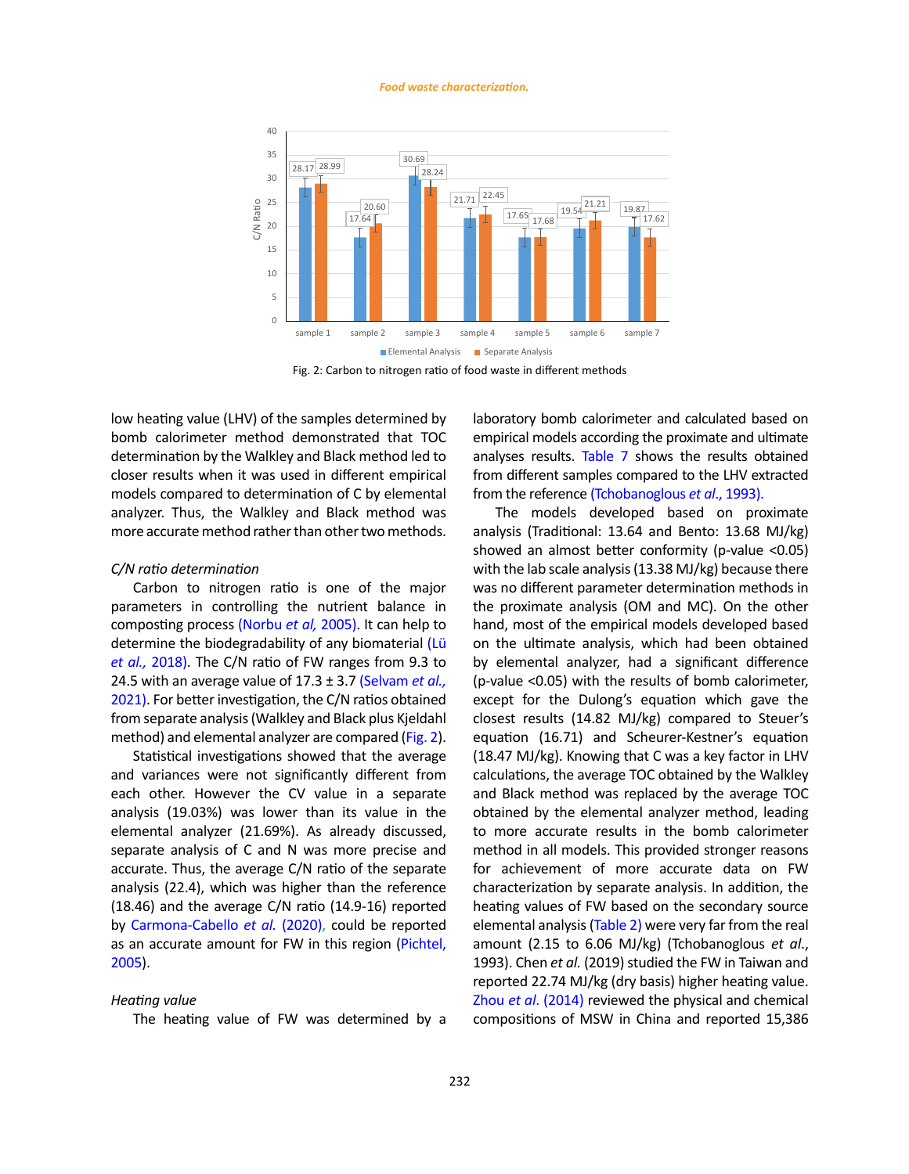#### *Food waste characterization.*



Fig. 2: Carbon to nitrogen ratio of food waste in different methods Fig. 2: Carbon to nitrogen ratio of food waste in different methods

low heating value (LHV) of the samples determined by bomb calorimeter method demonstrated that TOC determination by the Walkley and Black method led to closer results when it was used in different empirical models compared to determination of C by elemental analyzer. Thus, the Walkley and Black method was more accurate method rather than other two methods.

# *C/N ratio determination*

Carbon to nitrogen ratio is one of the major parameters in controlling the nutrient balance in composting process [\(Norbu](#page-11-0) *et al,* 2005). It can help to determine the biodegradability of any biomaterial [\(Lü](#page-10-0)  *et al.,* [2018\)](#page-10-0). The C/N ratio of FW ranges from 9.3 to 24.5 with an average value of 17.3 ± 3.7 [\(Selvam](#page-11-0) *et al.,* [2021\)](#page-11-0). For better investigation, the C/N ratios obtained from separate analysis (Walkley and Black plus Kjeldahl method) and elemental analyzer are compared (Fig. 2).

Statistical investigations showed that the average and variances were not significantly different from each other. However the CV value in a separate analysis (19.03%) was lower than its value in the elemental analyzer (21.69%). As already discussed, separate analysis of C and N was more precise and accurate. Thus, the average C/N ratio of the separate analysis (22.4), which was higher than the reference (18.46) and the average C/N ratio (14.9-16) reported by [Carmona-Cabello](#page-10-0) *et al.* (2020), could be reported as an accurate amount for FW in this region [\(Pichtel,](#page-11-0)  [2005](#page-11-0)).

# *Heating value*

The heating value of FW was determined by a

laboratory bomb calorimeter and calculated based on empirical models according the proximate and ultimate analyses results. [Table 7](#page-8-0) shows the results obtained from different samples compared to the LHV extracted from the reference [\(Tchobanoglous](#page-11-0) *et al*., 1993).

The models developed based on proximate analysis (Traditional: 13.64 and Bento: 13.68 MJ/kg) showed an almost better conformity (p-value <0.05) with the lab scale analysis (13.38 MJ/kg) because there was no different parameter determination methods in the proximate analysis (OM and MC). On the other hand, most of the empirical models developed based on the ultimate analysis, which had been obtained by elemental analyzer, had a significant difference (p-value <0.05) with the results of bomb calorimeter, except for the Dulong's equation which gave the closest results (14.82 MJ/kg) compared to Steuer's equation (16.71) and Scheurer-Kestner's equation (18.47 MJ/kg). Knowing that C was a key factor in LHV calculations, the average TOC obtained by the Walkley and Black method was replaced by the average TOC obtained by the elemental analyzer method, leading to more accurate results in the bomb calorimeter method in all models. This provided stronger reasons for achievement of more accurate data on FW characterization by separate analysis. In addition, the heating values of FW based on the secondary source elemental analysis [\(Table 2\)](#page-5-0) were very far from the real amount (2.15 to 6.06 MJ/kg) (Tchobanoglous *et al*., 1993). Chen *et al.* (2019) studied the FW in Taiwan and reported 22.74 MJ/kg (dry basis) higher heating value. Zhou *et al*[. \(2014\)](#page-11-0) reviewed the physical and chemical compositions of MSW in China and reported 15,386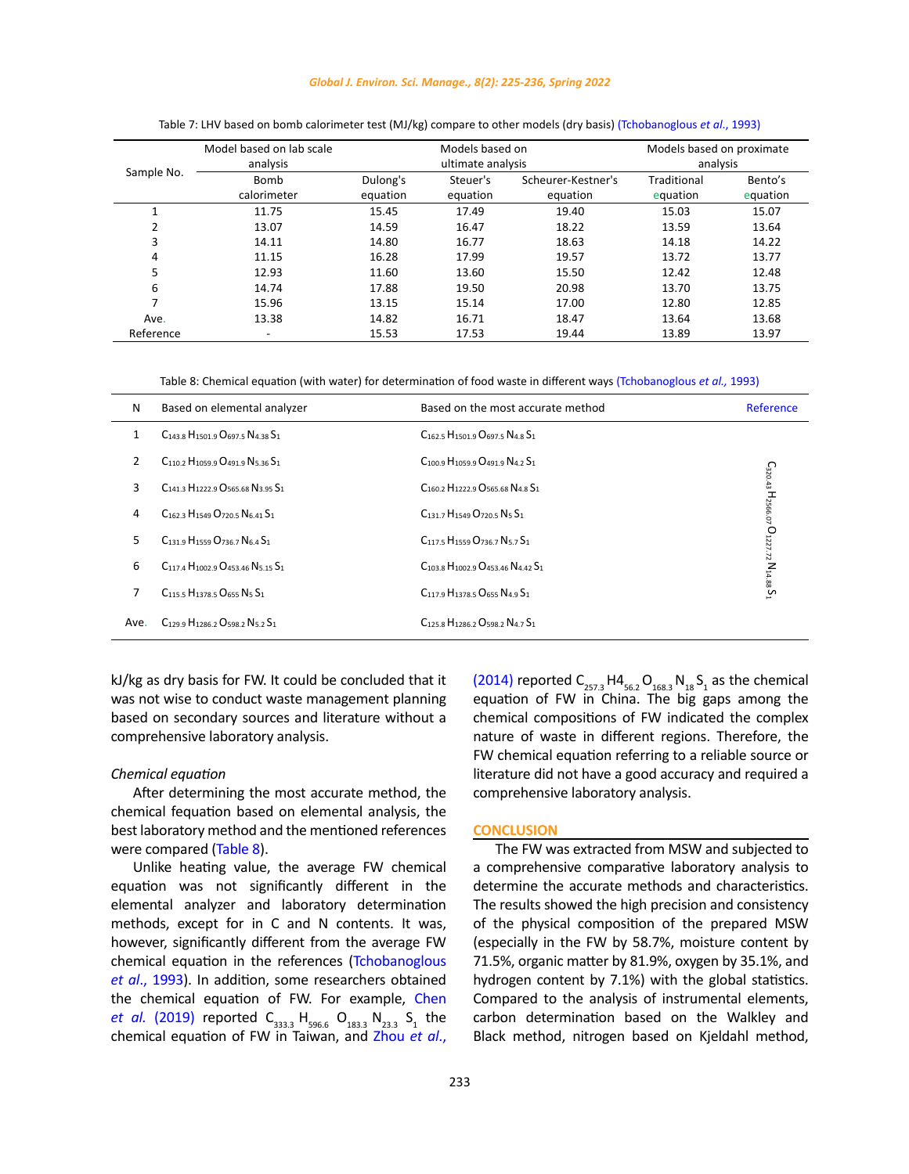# *Global J. Environ. Sci. Manage., 8(2): 225-236, Spring 2022* Table 7: LHV based on bomb calorimeter test (MJ/kg) compare to other models (dry basis)

<span id="page-8-0"></span>

|                          | Model based on lab scale |          | Models based on   |                    | Models based on proximate |          |  |
|--------------------------|--------------------------|----------|-------------------|--------------------|---------------------------|----------|--|
| Sample No.               | analysis                 |          | ultimate analysis |                    | analysis                  |          |  |
|                          | Bomb                     | Dulong's | Steuer's          | Scheurer-Kestner's | Traditional               | Bento's  |  |
|                          | calorimeter              | equation | equation          | equation           | equation                  | equation |  |
|                          | 11.75                    | 15.45    | 17.49             | 19.40              | 15.03                     | 15.07    |  |
| 2                        | 13.07                    | 14.59    | 16.47             | 18.22              | 13.59                     | 13.64    |  |
| 3                        | 14.11                    | 14.80    | 16.77             | 18.63              | 14.18                     | 14.22    |  |
| 4                        | 11.15                    | 16.28    | 17.99             | 19.57              | 13.72                     | 13.77    |  |
| 5                        | 12.93                    | 11.60    | 13.60             | 15.50              | 12.42                     | 12.48    |  |
| 6                        | 14.74                    | 17.88    | 19.50             | 20.98              | 13.70                     | 13.75    |  |
| $\overline{\phantom{a}}$ | 15.96                    | 13.15    | 15.14             | 17.00              | 12.80                     | 12.85    |  |
| Ave.                     | 13.38                    | 14.82    | 16.71             | 18.47              | 13.64                     | 13.68    |  |
| Reference                |                          | 15.53    | 17.53             | 19.44              | 13.89                     | 13.97    |  |

#### Table 7: LHV based on bomb calorimeter test (MJ/kg) compare to other models (dry basis) (Tchobanoglous *et al*., 1993)

(Tchobanoglous *et al.,* 1993) Table 8: Chemical equation (with water) for determination of food waste in different ways (Tchobanoglous *et al.,* 1993)

| N    | Based on elemental analyzer                                                         | Based on the most accurate method                                                          | Reference                           |
|------|-------------------------------------------------------------------------------------|--------------------------------------------------------------------------------------------|-------------------------------------|
| 1    | $C_{143.8}$ H <sub>1501.9</sub> O <sub>697.5</sub> N <sub>4</sub> 38 S <sub>1</sub> | $C_{162}$ 5 $H_{1501}$ 9 $O_{697}$ 5 $N_{4.8}$ $S_1$                                       |                                     |
| 2    | $C_{110}$ 2 $H_{1059}$ 9 $Q_{491}$ 9 $N_5$ 36 $S_1$                                 | $C_{100}$ a $H_{1059}$ a $Q_{491}$ a $N_{42}$ $S_{11}$                                     |                                     |
| 3    | $C_{141}$ 3 $H_{1222}$ 9 $O$ 565 68 $N$ 3 95 $S_1$                                  | C <sub>160.2</sub> H <sub>1222.9</sub> O <sub>565.68</sub> N <sub>4.8</sub> S <sub>1</sub> |                                     |
| 4    | $C_{162}$ 3 $H_{1549}$ $Q_{720}$ 5 $N_{641}$ $S_{1}$                                | $C_{131}$ 7 $H_{1549}$ $Q_{720}$ 5 $N_5$ $S_1$                                             | C320.43 H2566.07 O1227.72 N14.88 S1 |
| 5    | C131.9 H1559 O736.7 N6.4 S1                                                         | $C_{117}$ 5 H <sub>1559</sub> O <sub>736</sub> 7 Ns 7 S <sub>1</sub>                       |                                     |
| 6    | $C_{117,4}$ $H_{1002}$ a $O_{453,46}$ N <sub>5</sub> 15 $S_1$                       | $C_{103.8}$ H <sub>1002.9</sub> $Q_{453.46}$ N <sub>4.42</sub> S <sub>1</sub>              |                                     |
| 7    | $C_{1155}H_{13785}O_{655}N_5S_1$                                                    | $C_{1179}H_{13785}O_{655}N_{49}S_1$                                                        |                                     |
| Ave. | $C_{1299}$ H <sub>12862</sub> O <sub>5982</sub> N <sub>52</sub> S <sub>1</sub>      | C <sub>125.8</sub> H <sub>1286.2</sub> O <sub>598.2</sub> N <sub>4.7</sub> S <sub>1</sub>  |                                     |

kJ/kg as dry basis for FW. It could be concluded that it was not wise to conduct waste management planning based on secondary sources and literature without a comprehensive laboratory analysis.

## *Chemical equation*

After determining the most accurate method, the chemical fequation based on elemental analysis, the best laboratory method and the mentioned references were compared (Table 8).

Unlike heating value, the average FW chemical equation was not significantly different in the elemental analyzer and laboratory determination methods, except for in C and N contents. It was, however, significantly different from the average FW chemical equation in the references [\(Tchobanoglous](#page-11-0)  *et al*[., 1993](#page-11-0)). In addition, some researchers obtained the chemical equation of FW. For example, [Chen](#page-10-0)  *et al.* [\(2019\)](#page-10-0) reported  $C_{333.3}$  H<sub>596.6</sub> O<sub>183.3</sub> N<sub>23.3</sub> S<sub>1</sub> the chemical equation of FW in Taiwan, and [Zhou](#page-11-0) *et al*.,

[\(2014\)](#page-11-0) reported  $C_{257.3}H4_{56.2}O_{168.3}N_{18}S_1$  as the chemical equation of FW in China. The big gaps among the chemical compositions of FW indicated the complex nature of waste in different regions. Therefore, the FW chemical equation referring to a reliable source or literature did not have a good accuracy and required a comprehensive laboratory analysis.

# **CONCLUSION**

The FW was extracted from MSW and subjected to a comprehensive comparative laboratory analysis to determine the accurate methods and characteristics. The results showed the high precision and consistency of the physical composition of the prepared MSW (especially in the FW by 58.7%, moisture content by 71.5%, organic matter by 81.9%, oxygen by 35.1%, and hydrogen content by 7.1%) with the global statistics. Compared to the analysis of instrumental elements, carbon determination based on the Walkley and Black method, nitrogen based on Kjeldahl method,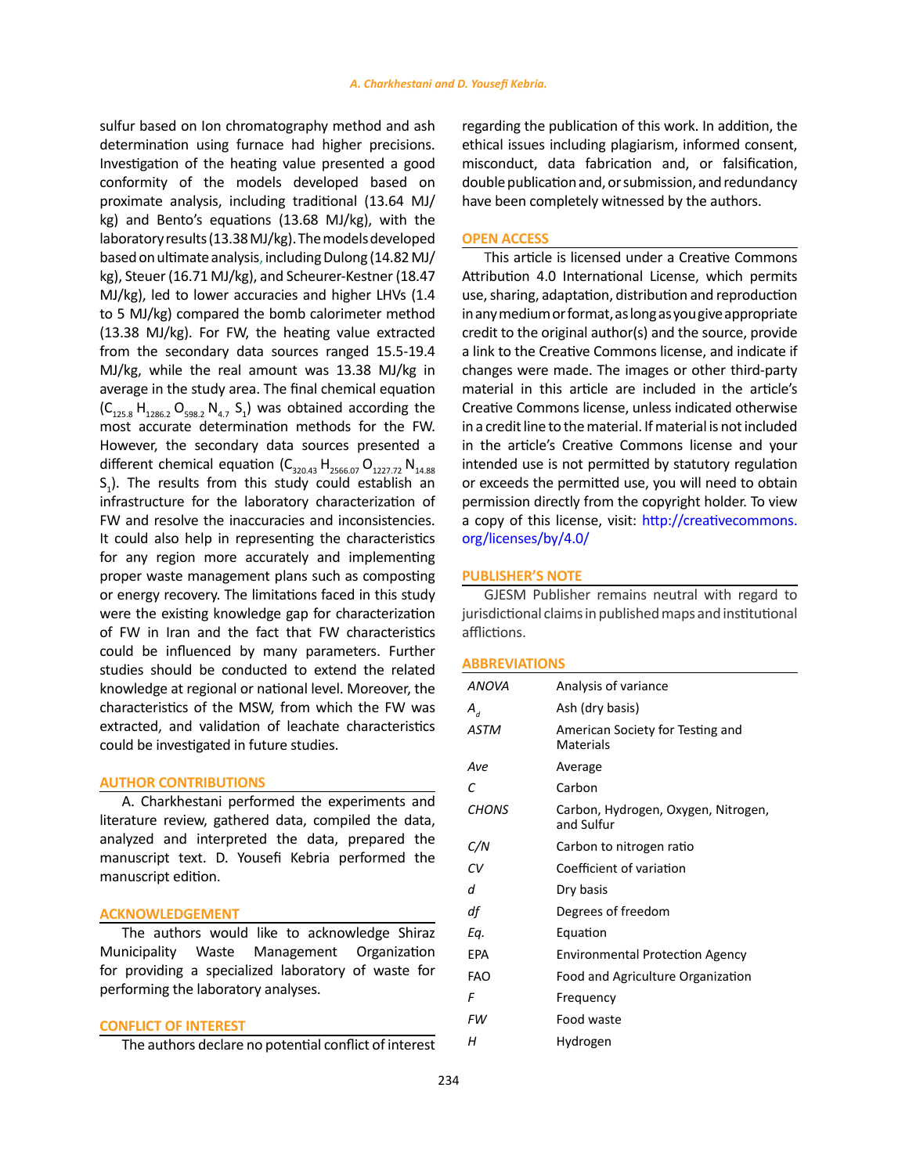sulfur based on Ion chromatography method and ash determination using furnace had higher precisions. Investigation of the heating value presented a good conformity of the models developed based on proximate analysis, including traditional (13.64 MJ/ kg) and Bento's equations (13.68 MJ/kg), with the laboratory results (13.38 MJ/kg). The models developed based on ultimate analysis, including Dulong (14.82 MJ/ kg), Steuer (16.71 MJ/kg), and Scheurer-Kestner (18.47 MJ/kg), led to lower accuracies and higher LHVs (1.4 to 5 MJ/kg) compared the bomb calorimeter method (13.38 MJ/kg). For FW, the heating value extracted from the secondary data sources ranged 15.5-19.4 MJ/kg, while the real amount was 13.38 MJ/kg in average in the study area. The final chemical equation  $(C_{125.8} H_{1286.2} O_{598.2} N_{4.7} S_1)$  was obtained according the most accurate determination methods for the FW. However, the secondary data sources presented a different chemical equation  $(C_{320.43} H_{2566.07} O_{1227.72} N_{14.88})$  $S_1$ ). The results from this study could establish an infrastructure for the laboratory characterization of FW and resolve the inaccuracies and inconsistencies. It could also help in representing the characteristics for any region more accurately and implementing proper waste management plans such as composting or energy recovery. The limitations faced in this study were the existing knowledge gap for characterization of FW in Iran and the fact that FW characteristics could be influenced by many parameters. Further studies should be conducted to extend the related knowledge at regional or national level. Moreover, the characteristics of the MSW, from which the FW was extracted, and validation of leachate characteristics could be investigated in future studies.

# **AUTHOR CONTRIBUTIONS**

A. Charkhestani performed the experiments and literature review, gathered data, compiled the data, analyzed and interpreted the data, prepared the manuscript text. D. Yousefi Kebria performed the manuscript edition.

# **ACKNOWLEDGEMENT**

The authors would like to acknowledge Shiraz Municipality Waste Management Organization for providing a specialized laboratory of waste for performing the laboratory analyses.

# **CONFLICT OF INTEREST**

The authors declare no potential conflict of interest

regarding the publication of this work. In addition, the ethical issues including plagiarism, informed consent, misconduct, data fabrication and, or falsification, double publication and, or submission, and redundancy have been completely witnessed by the authors.

# **OPEN ACCESS**

This article is licensed under a Creative Commons Attribution 4.0 International License, which permits use, sharing, adaptation, distribution and reproduction in any medium or format, as long as you give appropriate credit to the original author(s) and the source, provide a link to the Creative Commons license, and indicate if changes were made. The images or other third-party material in this article are included in the article's Creative Commons license, unless indicated otherwise in a credit line to the material. If material is not included in the article's Creative Commons license and your intended use is not permitted by statutory regulation or exceeds the permitted use, you will need to obtain permission directly from the copyright holder. To view a copy of this license, visit: [http://creativecommons.](http://creativecommons.org/licenses/by/4.0/) [org/licenses/by/4.0/](http://creativecommons.org/licenses/by/4.0/)

# **PUBLISHER'S NOTE**

GJESM Publisher remains neutral with regard to jurisdictional claims in published maps and institutional afflictions.

## **ABBREVIATIONS**

| <b>ANOVA</b> | Analysis of variance                              |
|--------------|---------------------------------------------------|
| $A_{d}$      | Ash (dry basis)                                   |
| <b>ASTM</b>  | American Society for Testing and<br>Materials     |
| Ave          | Average                                           |
| C            | Carbon                                            |
| <b>CHONS</b> | Carbon, Hydrogen, Oxygen, Nitrogen,<br>and Sulfur |
| C/N          | Carbon to nitrogen ratio                          |
| СV           | Coefficient of variation                          |
| d            | Dry basis                                         |
| df           | Degrees of freedom                                |
| Eq.          | Equation                                          |
| EPA          | <b>Environmental Protection Agency</b>            |
| FAO          | Food and Agriculture Organization                 |
| F            | Frequency                                         |
| FW           | Food waste                                        |
| н            | Hydrogen                                          |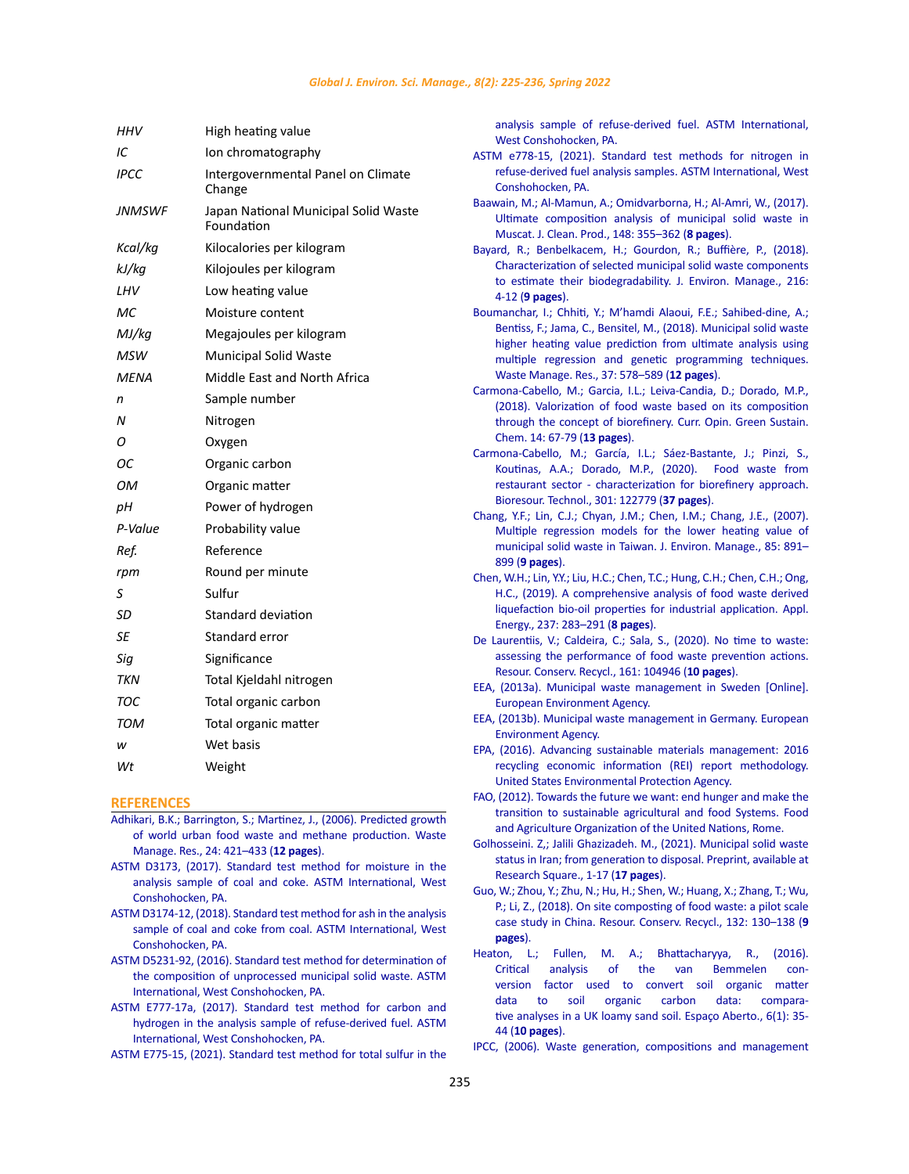<span id="page-10-0"></span>

| HHV           | High heating value                                 |
|---------------|----------------------------------------------------|
| IC            | Ion chromatography                                 |
| <b>IPCC</b>   | Intergovernmental Panel on Climate<br>Change       |
| <b>JNMSWF</b> | Japan National Municipal Solid Waste<br>Foundation |
| Kcal/kq       | Kilocalories per kilogram                          |
| kJ/kq         | Kilojoules per kilogram                            |
| LHV           | Low heating value                                  |
| МC            | Moisture content                                   |
| MJ/kg         | Megajoules per kilogram                            |
| <b>MSW</b>    | <b>Municipal Solid Waste</b>                       |
| MENA          | Middle East and North Africa                       |
| n             | Sample number                                      |
| N             | Nitrogen                                           |
| Ο             | Oxygen                                             |
| ОС            | Organic carbon                                     |
| OМ            | Organic matter                                     |
| pН            | Power of hydrogen                                  |
| P-Value       | Probability value                                  |
| Ref.          | Reference                                          |
| rpm           | Round per minute                                   |
| S             | Sulfur                                             |
| SD            | <b>Standard deviation</b>                          |
| SE            | Standard error                                     |
| Sig           | Significance                                       |
| <b>TKN</b>    | Total Kjeldahl nitrogen                            |
| тос           | Total organic carbon                               |
| TOM           | Total organic matter                               |
| w             | Wet basis                                          |
| Wt            | Weight                                             |

## **REFERENCES**

- [Adhikari, B.K.; Barrington, S.; Martinez, J., \(2006\). Predicted growth](https://journals.sagepub.com/doi/10.1177/0734242X06067767)  [of world urban food waste and methane production. Waste](https://journals.sagepub.com/doi/10.1177/0734242X06067767)  [Manage. Res., 24: 421–433 \(](https://journals.sagepub.com/doi/10.1177/0734242X06067767)**12 pages**).
- [ASTM D3173, \(2017\). Standard test method for moisture in the](https://www.astm.org/Standards/D3173)  [analysis sample of coal and coke. ASTM International, West](https://www.astm.org/Standards/D3173)  [Conshohocken, PA.](https://www.astm.org/Standards/D3173)
- [ASTM D3174-12, \(2018\). Standard test method for ash in the analysis](https://www.astm.org/DATABASE.CART/HISTORICAL/D3174-12R18.htm)  [sample of coal and coke from coal. ASTM International, West](https://www.astm.org/DATABASE.CART/HISTORICAL/D3174-12R18.htm)  [Conshohocken, PA.](https://www.astm.org/DATABASE.CART/HISTORICAL/D3174-12R18.htm)
- [ASTM D5231-92, \(2016\). Standard test method for determination of](https://www.astm.org/Standards/D5231.htm)  [the composition of unprocessed municipal solid waste. ASTM](https://www.astm.org/Standards/D5231.htm)  [International, West Conshohocken, PA.](https://www.astm.org/Standards/D5231.htm)
- [ASTM E777-17a, \(2017\). Standard test method for carbon and](https://www.astm.org/Standards/E777.htm)  [hydrogen in the analysis sample of refuse-derived fuel. ASTM](https://www.astm.org/Standards/E777.htm)  [International, West Conshohocken, PA.](https://www.astm.org/Standards/E777.htm)

[ASTM E775-15, \(2021\). Standard test method for total sulfur in the](https://www.astm.org/Standards/E775.htm) 

[analysis sample of refuse-derived fuel. ASTM International,](https://www.astm.org/Standards/E775.htm) [West Conshohocken, PA.](https://www.astm.org/Standards/E775.htm)

- [ASTM e778-15, \(2021\). Standard test methods for nitrogen in](https://www.astm.org/Standards/E778.htm) [refuse-derived fuel analysis samples. ASTM International, West](https://www.astm.org/Standards/E778.htm) [Conshohocken, PA.](https://www.astm.org/Standards/E778.htm)
- [Baawain, M.; Al-Mamun, A.; Omidvarborna, H.; Al-Amri, W., \(2017\).](https://www.sciencedirect.com/science/article/abs/pii/S0959652617302172?via%3Dihub) [Ultimate composition analysis of municipal solid waste in](https://www.sciencedirect.com/science/article/abs/pii/S0959652617302172?via%3Dihub) [Muscat. J. Clean. Prod., 148: 355–362 \(](https://www.sciencedirect.com/science/article/abs/pii/S0959652617302172?via%3Dihub)**8 pages**).
- [Bayard, R.; Benbelkacem, H.; Gourdon, R.; Buffière, P., \(2018\).](https://www.sciencedirect.com/science/article/pii/S0301479717304425) [Characterization of selected municipal solid waste components](https://www.sciencedirect.com/science/article/pii/S0301479717304425) [to estimate their biodegradability. J. Environ. Manage., 216:](https://www.sciencedirect.com/science/article/pii/S0301479717304425) 4-12 (**[9 pages](https://www.sciencedirect.com/science/article/pii/S0301479717304425)**).
- [Boumanchar, I.; Chhiti, Y.; M'hamdi Alaoui, F.E.; Sahibed-dine, A.;](https://journals.sagepub.com/doi/10.1177/0734242X18816797) [Bentiss, F.; Jama, C., Bensitel, M., \(2018\). Municipal solid waste](https://journals.sagepub.com/doi/10.1177/0734242X18816797) [higher heating value prediction from ultimate analysis using](https://journals.sagepub.com/doi/10.1177/0734242X18816797) [multiple regression and genetic programming techniques.](https://journals.sagepub.com/doi/10.1177/0734242X18816797) [Waste Manage. Res., 37: 578–589 \(](https://journals.sagepub.com/doi/10.1177/0734242X18816797)**12 pages**).
- [Carmona-Cabello, M.; Garcia, I.L.; Leiva-Candia, D.; Dorado, M.P.,](https://www.sciencedirect.com/science/article/abs/pii/S2452223618300361) [\(2018\). Valorization of food waste based on its composition](https://www.sciencedirect.com/science/article/abs/pii/S2452223618300361) [through the concept of biorefinery. Curr. Opin. Green Sustain.](https://www.sciencedirect.com/science/article/abs/pii/S2452223618300361) [Chem. 14: 67-79 \(](https://www.sciencedirect.com/science/article/abs/pii/S2452223618300361)**13 pages**).
- [Carmona-Cabello, M.; García, I.L.; Sáez-Bastante, J.; Pinzi, S.,](https://www.sciencedirect.com/science/article/abs/pii/S0960852420300481) [Koutinas, A.A.; Dorado, M.P., \(2020\). Food waste from](https://www.sciencedirect.com/science/article/abs/pii/S0960852420300481) [restaurant sector - characterization for biorefinery approach.](https://www.sciencedirect.com/science/article/abs/pii/S0960852420300481) [Bioresour. Technol., 301: 122779 \(](https://www.sciencedirect.com/science/article/abs/pii/S0960852420300481)**37 pages**).
- [Chang, Y.F.; Lin, C.J.; Chyan, J.M.; Chen, I.M.; Chang, J.E., \(2007\).](https://www.sciencedirect.com/science/article/pii/S0301479706003562?via%3Dihub) [Multiple regression models for the lower heating value of](https://www.sciencedirect.com/science/article/pii/S0301479706003562?via%3Dihub) [municipal solid waste in Taiwan. J. Environ. Manage., 85: 891–](https://www.sciencedirect.com/science/article/pii/S0301479706003562?via%3Dihub) 899 (**[9 pages](https://www.sciencedirect.com/science/article/pii/S0301479706003562?via%3Dihub)**).
- [Chen, W.H.; Lin, Y.Y.; Liu, H.C.; Chen, T.C.; Hung, C.H.; Chen, C.H.; Ong,](https://www.sciencedirect.com/science/article/abs/pii/S0306261918319032?via%3Dihub) [H.C., \(2019\). A comprehensive analysis of food waste derived](https://www.sciencedirect.com/science/article/abs/pii/S0306261918319032?via%3Dihub) [liquefaction bio-oil properties for industrial application. Appl.](https://www.sciencedirect.com/science/article/abs/pii/S0306261918319032?via%3Dihub) [Energy., 237: 283–291 \(](https://www.sciencedirect.com/science/article/abs/pii/S0306261918319032?via%3Dihub)**8 pages**).
- [De Laurentiis, V.; Caldeira, C.; Sala, S., \(2020\). No time to waste:](https://www.sciencedirect.com/science/article/pii/S0921344920302640?via%3Dihub) [assessing the performance of food waste prevention actions.](https://www.sciencedirect.com/science/article/pii/S0921344920302640?via%3Dihub) [Resour. Conserv. Recycl., 161: 104946 \(](https://www.sciencedirect.com/science/article/pii/S0921344920302640?via%3Dihub)**10 pages**).
- [EEA, \(2013a\). Municipal waste management in Sweden \[Online\].](https://www.eea.europa.eu/publications/managing-municipal-solid-waste/sweden-municipal-waste-management/view) [European Environment Agency.](https://www.eea.europa.eu/publications/managing-municipal-solid-waste/sweden-municipal-waste-management/view)
- [EEA, \(2013b\). Municipal waste management in Germany. European](https://www.eea.europa.eu/data-and-maps/figures/management-of-municipal-waste-in-germany) [Environment Agency.](https://www.eea.europa.eu/data-and-maps/figures/management-of-municipal-waste-in-germany)
- [EPA, \(2016\). Advancing sustainable materials management: 2016](https://www.epa.gov/smm/recycling-economic-information-rei-report) [recycling economic information \(REI\) report methodology.](https://www.epa.gov/smm/recycling-economic-information-rei-report) [United States Environmental Protection Agency.](https://www.epa.gov/smm/recycling-economic-information-rei-report)
- [FAO, \(2012\). Towards the future we want: end hunger and make the](http://www.fao.org/3/an894e/an894e00.pdf) [transition to sustainable agricultural and food Systems. Food](http://www.fao.org/3/an894e/an894e00.pdf) [and Agriculture Organization of the United Nations, Rome.](http://www.fao.org/3/an894e/an894e00.pdf)
- [Golhosseini. Z,; Jalili Ghazizadeh. M., \(2021\). Municipal solid waste](https://www.researchsquare.com/article/rs-792222/v1) [status in Iran; from generation to disposal. Preprint, available at](https://www.researchsquare.com/article/rs-792222/v1) [Research Square., 1-17 \(](https://www.researchsquare.com/article/rs-792222/v1)**17 pages**).
- [Guo, W.; Zhou, Y.; Zhu, N.; Hu, H.; Shen, W.; Huang, X.; Zhang, T.; Wu,](https://www.sciencedirect.com/science/article/abs/pii/S0921344918300338?via%3Dihub) [P.; Li, Z., \(2018\). On site composting of food waste: a pilot scale](https://www.sciencedirect.com/science/article/abs/pii/S0921344918300338?via%3Dihub) [case study in China. Resour. Conserv. Recycl., 132: 130–138 \(](https://www.sciencedirect.com/science/article/abs/pii/S0921344918300338?via%3Dihub)**9 [pages](https://www.sciencedirect.com/science/article/abs/pii/S0921344918300338?via%3Dihub)**).
- Heaton, L.; Fullen, M. A.; Bhattacharyya, R., (2016). Critical analysis of the van Bemmelen conversion factor used to convert soil organic matter data to soil organic carbon data: comparative analyses in a UK loamy sand soil. Espaço Aberto., 6(1): 35- 44 (**10 pages**).
- [IPCC, \(2006\). Waste generation, compositions and management](https://www.ipcc-nggip.iges.or.jp/public/2006gl/vol5.html)